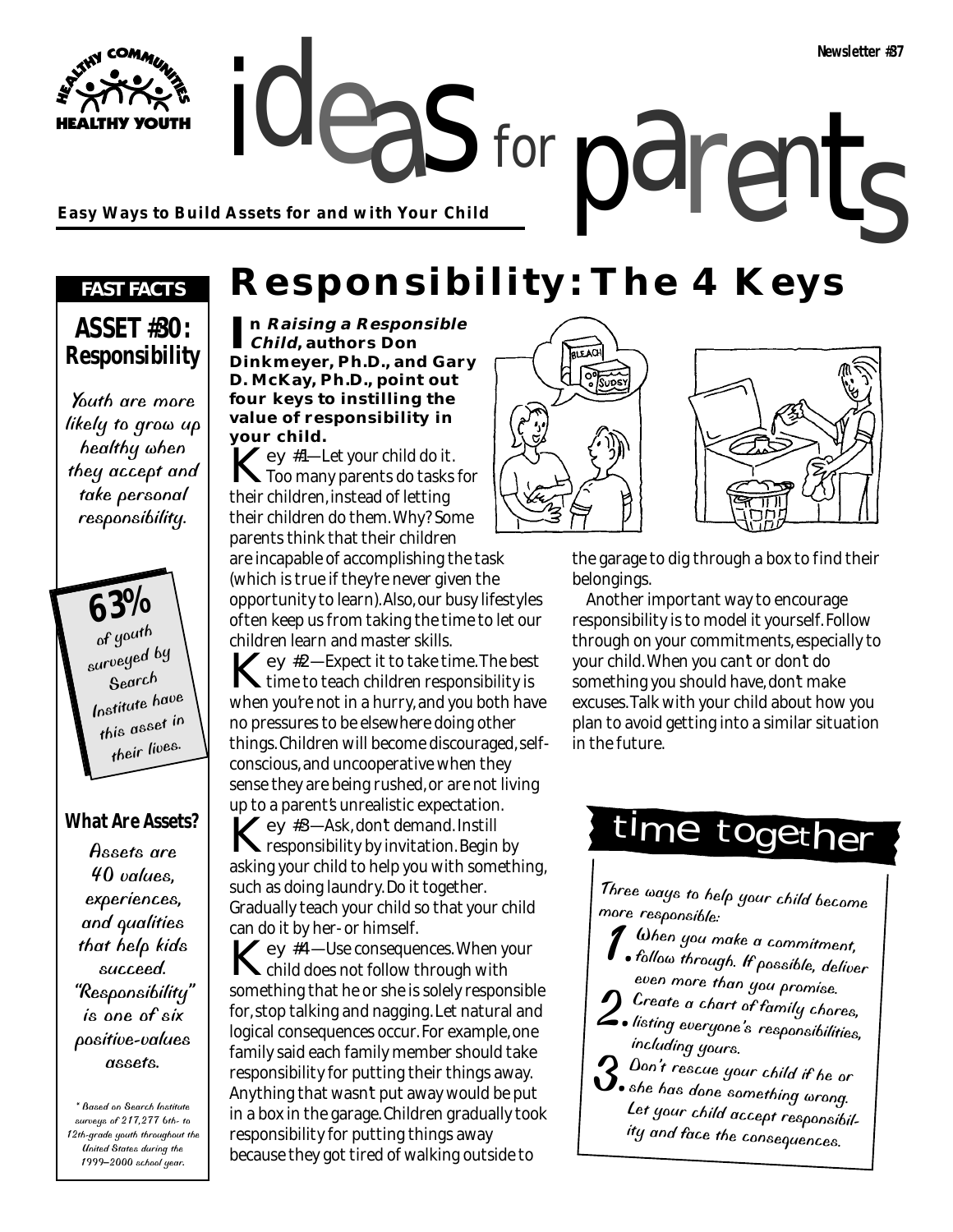**Easy Ways to Build Assets for and with Your Child**

#### *FAST FACTS*

**HEALTHY YOUTH** 

# ideas for parents **Responsibility: The 4 Keys**

for

#### **ASSET #30: Responsibility**

Youth are more likely to grow up healthy when they accept and take personal responsibility.

> **63%** of youth surveyed by Search Institute have this asset in their lives.

#### **What Are Assets?**

Assets are 40 values, experiences, and qualities that help kids succeed. "Responsibility" is one of six positive-values assets.

\* Based on Search Institute surveys of 217,277 6th- to 12th-grade youth throughout the United States during the 1999–2000 school year.

**In Raising a Responsible Child, authors Don Dinkmeyer, Ph.D., and Gary D. McKay, Ph.D., point out four keys to instilling the value of responsibility in your child.**

 $\mathbb Z$  ey #1—Let your child do it. Too many parents do tasks for their children, instead of letting their children do them. Why? Some parents think that their children are incapable of accomplishing the task (which is true if they're never given the opportunity to learn). Also, our busy lifestyles often keep us from taking the time to let our children learn and master skills.

 $\blacktriangleright$  ey #2—Expect it to take time. The best time to teach children responsibility is when you're not in a hurry, and you both have no pressures to be elsewhere doing other things. Children will become discouraged, selfconscious, and uncooperative when they sense they are being rushed, or are not living up to a parent's unrealistic expectation.  $\sum$  ey #3—Ask, don't demand. Instill responsibility by invitation. Begin by asking your child to help you with something, such as doing laundry. Do it together. Gradually teach your child so that your child can do it by her- or himself.

 $\mathbb Z$  ey #4—Use consequences. When your child does not follow through with something that he or she is solely responsible for, stop talking and nagging. Let natural and logical consequences occur. For example, one family said each family member should take responsibility for putting their things away. Anything that wasn't put away would be put in a box in the garage. Children gradually took responsibility for putting things away because they got tired of walking outside to





the garage to dig through a box to find their belongings.

Another important way to encourage responsibility is to model it yourself. Follow through on your commitments, especially to your child. When you can't or don't do something you should have, don't make excuses. Talk with your child about how you plan to avoid getting into a similar situation in the future.

## time together

Three ways to help your child become more responsible:

- 1.When you make a commitment, follow through. If possible, deliver even more than you promise.
- $\Omega$  Create a chart of family chores,  $\mathbf 2$  . listing everyone's responsibilities, including yours.
- 3.Don't rescue your child if he or she has done something wrong. Let your child accept responsibility and face the consequences.